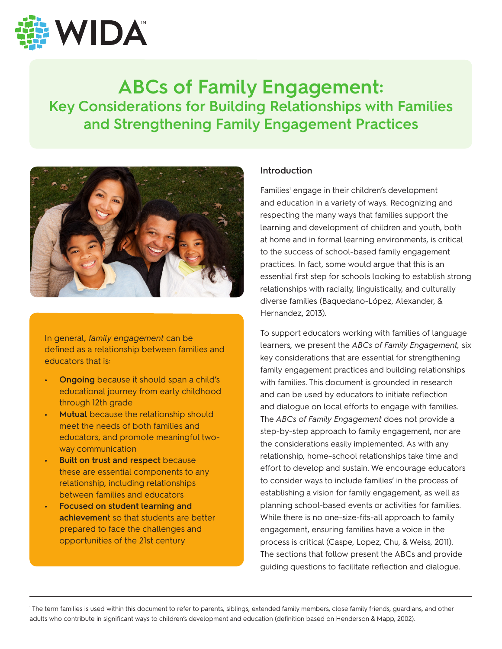

# **ABCs of Family Engagement: Key Considerations for Building Relationships with Families and Strengthening Family Engagement Practices**



In general, *family engagement* can be defined as a relationship between families and educators that is:

- **• Ongoing** because it should span a child's educational journey from early childhood through 12th grade
- **• Mutual** because the relationship should meet the needs of both families and educators, and promote meaningful twoway communication
- **• Built on trust and respect** because these are essential components to any relationship, including relationships between families and educators
- **• Focused on student learning and achievemen**t so that students are better prepared to face the challenges and opportunities of the 21st century

#### **Introduction**

Families<sup>1</sup> engage in their children's development and education in a variety of ways. Recognizing and respecting the many ways that families support the learning and development of children and youth, both at home and in formal learning environments, is critical to the success of school-based family engagement practices. In fact, some would argue that this is an essential first step for schools looking to establish strong relationships with racially, linguistically, and culturally diverse families (Baquedano-López, Alexander, & Hernandez, 2013).

To support educators working with families of language learners, we present the *ABCs of Family Engagement,* six key considerations that are essential for strengthening family engagement practices and building relationships with families. This document is grounded in research and can be used by educators to initiate reflection and dialogue on local efforts to engage with families. The *ABCs of Family Engagement* does not provide a step-by-step approach to family engagement, nor are the considerations easily implemented. As with any relationship, home–school relationships take time and effort to develop and sustain. We encourage educators to consider ways to include families' in the process of establishing a vision for family engagement, as well as planning school-based events or activities for families. While there is no one-size-fits-all approach to family engagement, ensuring families have a voice in the process is critical (Caspe, Lopez, Chu, & Weiss, 2011). The sections that follow present the ABCs and provide guiding questions to facilitate reflection and dialogue.

1 The term families is used within this document to refer to parents, siblings, extended family members, close family friends, guardians, and other adults who contribute in significant ways to children's development and education (definition based on Henderson & Mapp, 2002).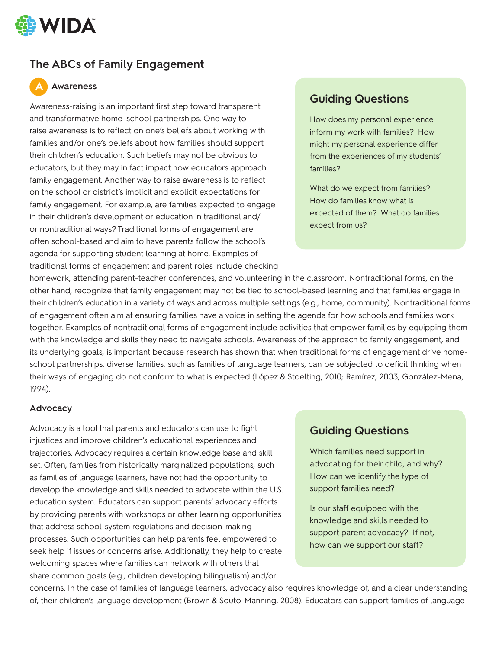

# **The ABCs of Family Engagement**

## **Awareness A**

Awareness-raising is an important first step toward transparent and transformative home–school partnerships. One way to raise awareness is to reflect on one's beliefs about working with families and/or one's beliefs about how families should support their children's education. Such beliefs may not be obvious to educators, but they may in fact impact how educators approach family engagement. Another way to raise awareness is to reflect on the school or district's implicit and explicit expectations for family engagement. For example, are families expected to engage in their children's development or education in traditional and/ or nontraditional ways? Traditional forms of engagement are often school-based and aim to have parents follow the school's agenda for supporting student learning at home. Examples of traditional forms of engagement and parent roles include checking

# **Guiding Questions**

How does my personal experience inform my work with families? How might my personal experience differ from the experiences of my students' families?

What do we expect from families? How do families know what is expected of them? What do families expect from us?

homework, attending parent-teacher conferences, and volunteering in the classroom. Nontraditional forms, on the other hand, recognize that family engagement may not be tied to school-based learning and that families engage in their children's education in a variety of ways and across multiple settings (e.g., home, community). Nontraditional forms of engagement often aim at ensuring families have a voice in setting the agenda for how schools and families work together. Examples of nontraditional forms of engagement include activities that empower families by equipping them with the knowledge and skills they need to navigate schools. Awareness of the approach to family engagement, and its underlying goals, is important because research has shown that when traditional forms of engagement drive homeschool partnerships, diverse families, such as families of language learners, can be subjected to deficit thinking when their ways of engaging do not conform to what is expected (López & Stoelting, 2010; Ramírez, 2003; González-Mena, 1994).

#### **Advocacy**

Advocacy is a tool that parents and educators can use to fight injustices and improve children's educational experiences and trajectories. Advocacy requires a certain knowledge base and skill set. Often, families from historically marginalized populations, such as families of language learners, have not had the opportunity to develop the knowledge and skills needed to advocate within the U.S. education system. Educators can support parents' advocacy efforts by providing parents with workshops or other learning opportunities that address school-system regulations and decision-making processes. Such opportunities can help parents feel empowered to seek help if issues or concerns arise. Additionally, they help to create welcoming spaces where families can network with others that share common goals (e.g., children developing bilingualism) and/or

## **Guiding Questions**

Which families need support in advocating for their child, and why? How can we identify the type of support families need?

Is our staff equipped with the knowledge and skills needed to support parent advocacy? If not, how can we support our staff?

concerns. In the case of families of language learners, advocacy also requires knowledge of, and a clear understanding of, their children's language development (Brown & Souto-Manning, 2008). Educators can support families of language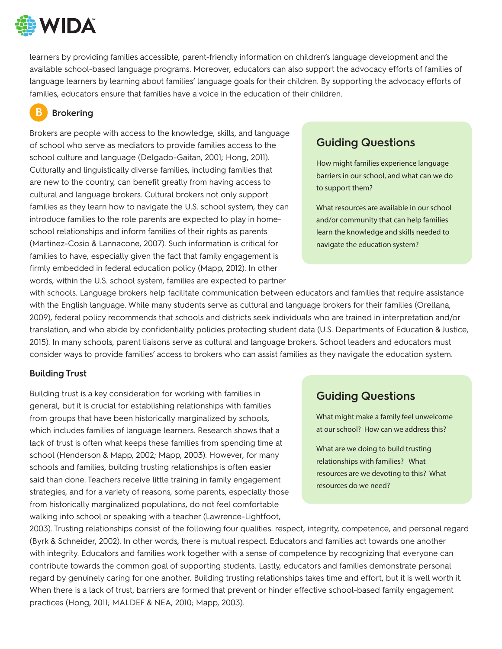

learners by providing families accessible, parent-friendly information on children's language development and the available school-based language programs. Moreover, educators can also support the advocacy efforts of families of language learners by learning about families' language goals for their children. By supporting the advocacy efforts of families, educators ensure that families have a voice in the education of their children.

### **Brokering B**

Brokers are people with access to the knowledge, skills, and language of school who serve as mediators to provide families access to the school culture and language (Delgado-Gaitan, 2001; Hong, 2011). Culturally and linguistically diverse families, including families that are new to the country, can benefit greatly from having access to cultural and language brokers. Cultural brokers not only support families as they learn how to navigate the U.S. school system, they can introduce families to the role parents are expected to play in homeschool relationships and inform families of their rights as parents (Martinez-Cosio & Lannacone, 2007). Such information is critical for families to have, especially given the fact that family engagement is firmly embedded in federal education policy (Mapp, 2012). In other words, within the U.S. school system, families are expected to partner

## **Guiding Questions**

How might families experience language barriers in our school, and what can we do to support them?

What resources are available in our school and/or community that can help families learn the knowledge and skills needed to navigate the education system?

with schools. Language brokers help facilitate communication between educators and families that require assistance with the English language. While many students serve as cultural and language brokers for their families (Orellana, 2009), federal policy recommends that schools and districts seek individuals who are trained in interpretation and/or translation, and who abide by confidentiality policies protecting student data (U.S. Departments of Education & Justice, 2015). In many schools, parent liaisons serve as cultural and language brokers. School leaders and educators must consider ways to provide families' access to brokers who can assist families as they navigate the education system.

#### **Building Trust**

Building trust is a key consideration for working with families in general, but it is crucial for establishing relationships with families from groups that have been historically marginalized by schools, which includes families of language learners. Research shows that a lack of trust is often what keeps these families from spending time at school (Henderson & Mapp, 2002; Mapp, 2003). However, for many schools and families, building trusting relationships is often easier said than done. Teachers receive little training in family engagement strategies, and for a variety of reasons, some parents, especially those from historically marginalized populations, do not feel comfortable walking into school or speaking with a teacher (Lawrence-Lightfoot,

## **Guiding Questions**

What might make a family feel unwelcome at our school? How can we address this?

What are we doing to build trusting relationships with families? What resources are we devoting to this? What resources do we need?

2003). Trusting relationships consist of the following four qualities: respect, integrity, competence, and personal regard (Byrk & Schneider, 2002). In other words, there is mutual respect. Educators and families act towards one another with integrity. Educators and families work together with a sense of competence by recognizing that everyone can contribute towards the common goal of supporting students. Lastly, educators and families demonstrate personal regard by genuinely caring for one another. Building trusting relationships takes time and effort, but it is well worth it. When there is a lack of trust, barriers are formed that prevent or hinder effective school-based family engagement practices (Hong, 2011; MALDEF & NEA, 2010; Mapp, 2003).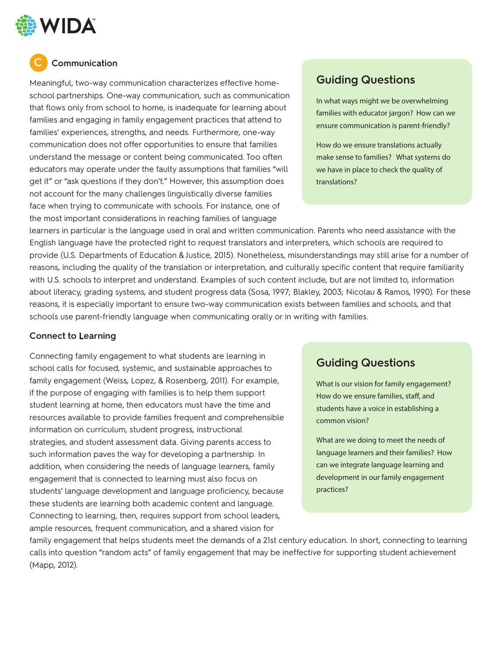

## **C Communication**

Meaningful, two-way communication characterizes effective homeschool partnerships. One-way communication, such as communication that flows only from school to home, is inadequate for learning about families and engaging in family engagement practices that attend to families' experiences, strengths, and needs. Furthermore, one-way communication does not offer opportunities to ensure that families understand the message or content being communicated. Too often educators may operate under the faulty assumptions that families "will get it" or "ask questions if they don't." However, this assumption does not account for the many challenges linguistically diverse families face when trying to communicate with schools. For instance, one of the most important considerations in reaching families of language

# **Guiding Questions**

In what ways might we be overwhelming families with educator jargon? How can we ensure communication is parent-friendly?

How do we ensure translations actually make sense to families? What systems do we have in place to check the quality of translations?

learners in particular is the language used in oral and written communication. Parents who need assistance with the English language have the protected right to request translators and interpreters, which schools are required to provide (U.S. Departments of Education & Justice, 2015). Nonetheless, misunderstandings may still arise for a number of reasons, including the quality of the translation or interpretation, and culturally specific content that require familiarity with U.S. schools to interpret and understand. Examples of such content include, but are not limited to, information about literacy, grading systems, and student progress data (Sosa, 1997; Blakley, 2003; Nicolau & Ramos, 1990). For these reasons, it is especially important to ensure two-way communication exists between families and schools, and that schools use parent-friendly language when communicating orally or in writing with families.

#### **Connect to Learning**

Connecting family engagement to what students are learning in school calls for focused, systemic, and sustainable approaches to family engagement (Weiss, Lopez, & Rosenberg, 2011). For example, if the purpose of engaging with families is to help them support student learning at home, then educators must have the time and resources available to provide families frequent and comprehensible information on curriculum, student progress, instructional strategies, and student assessment data. Giving parents access to such information paves the way for developing a partnership. In addition, when considering the needs of language learners, family engagement that is connected to learning must also focus on students' language development and language proficiency, because these students are learning both academic content and language. Connecting to learning, then, requires support from school leaders, ample resources, frequent communication, and a shared vision for

## **Guiding Questions**

What is our vision for family engagement? How do we ensure families, staff, and students have a voice in establishing a common vision?

What are we doing to meet the needs of language learners and their families? How can we integrate language learning and development in our family engagement practices?

family engagement that helps students meet the demands of a 21st century education. In short, connecting to learning calls into question "random acts" of family engagement that may be ineffective for supporting student achievement (Mapp, 2012).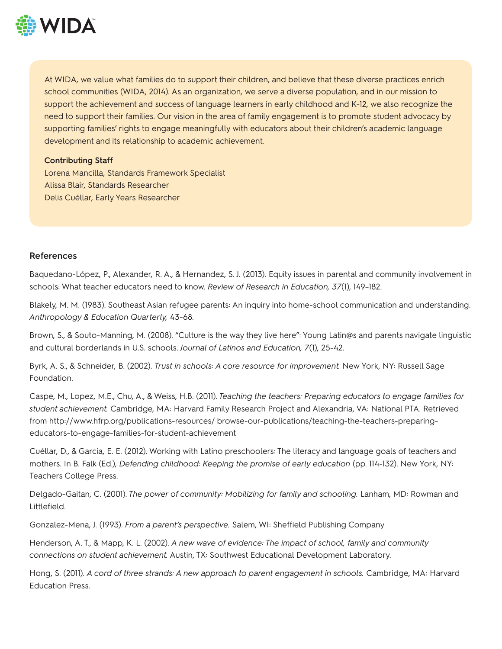

At WIDA, we value what families do to support their children, and believe that these diverse practices enrich school communities (WIDA, 2014). As an organization, we serve a diverse population, and in our mission to support the achievement and success of language learners in early childhood and K-12, we also recognize the need to support their families. Our vision in the area of family engagement is to promote student advocacy by supporting families' rights to engage meaningfully with educators about their children's academic language development and its relationship to academic achievement.

#### **Contributing Staff**

Lorena Mancilla, Standards Framework Specialist Alissa Blair, Standards Researcher Delis Cuéllar, Early Years Researcher

#### **References**

Baquedano-López, P., Alexander, R. A., & Hernandez, S. J. (2013). Equity issues in parental and community involvement in schools: What teacher educators need to know. *Review of Research in Education, 37*(1), 149–182.

Blakely, M. M. (1983). Southeast Asian refugee parents: An inquiry into home-school communication and understanding. *Anthropology & Education Quarterly,* 43-68.

Brown, S., & Souto-Manning, M. (2008). "Culture is the way they live here": Young Latin@s and parents navigate linguistic and cultural borderlands in U.S. schools. *Journal of Latinos and Education, 7*(1), 25-42.

Byrk, A. S., & Schneider, B. (2002). *Trust in schools: A core resource for improvement.* New York, NY: Russell Sage Foundation.

Caspe, M., Lopez, M.E., Chu, A., & Weiss, H.B. (2011). *Teaching the teachers: Preparing educators to engage families for student achievement.* Cambridge, MA: Harvard Family Research Project and Alexandria, VA: National PTA. Retrieved from http://www.hfrp.org/publications-resources/ browse-our-publications/teaching-the-teachers-preparingeducators-to-engage-families-for-student-achievement

Cuéllar, D., & Garcia, E. E. (2012). Working with Latino preschoolers: The literacy and language goals of teachers and mothers. In B. Falk (Ed.), *Defending childhood: Keeping the promise of early education* (pp. 114-132). New York, NY: Teachers College Press.

Delgado-Gaitan, C. (2001). The power of community: Mobilizing for family and schooling. Lanham, MD: Rowman and Littlefield.

Gonzalez-Mena, J. (1993). *From a parent's perspective.* Salem, WI: Sheffield Publishing Company

Henderson, A. T., & Mapp, K. L. (2002). *A new wave of evidence: The impact of school, family and community connections on student achievement.* Austin, TX: Southwest Educational Development Laboratory.

Hong, S. (2011). A cord of three strands: A new approach to parent engagement in schools. Cambridge, MA: Harvard Education Press.